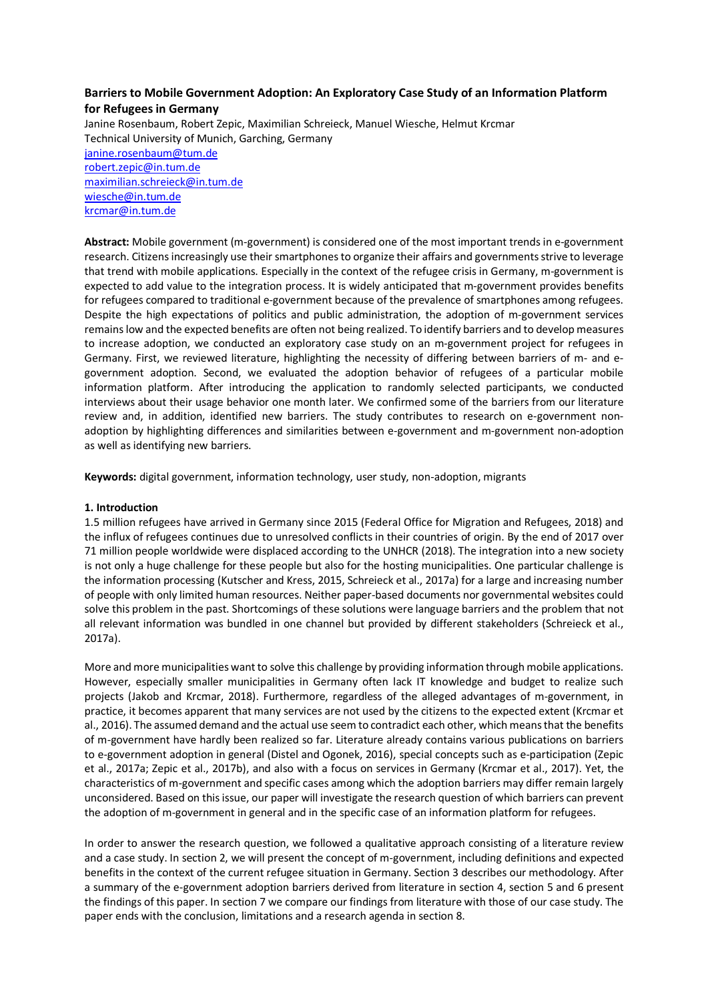# **Barriers to Mobile Government Adoption: An Exploratory Case Study of an Information Platform for Refugees in Germany**

Janine Rosenbaum, Robert Zepic, Maximilian Schreieck, Manuel Wiesche, Helmut Krcmar Technical University of Munich, Garching, Germany janine.rosenbaum@tum.de robert.zepic@in.tum.de maximilian.schreieck@in.tum.de wiesche@in.tum.de krcmar@in.tum.de

**Abstract:** Mobile government (m-government) is considered one of the most important trends in e-government research. Citizens increasingly use their smartphones to organize their affairs and governments strive to leverage that trend with mobile applications. Especially in the context of the refugee crisis in Germany, m-government is expected to add value to the integration process. It is widely anticipated that m-government provides benefits for refugees compared to traditional e-government because of the prevalence of smartphones among refugees. Despite the high expectations of politics and public administration, the adoption of m-government services remains low and the expected benefits are often not being realized. To identify barriers and to develop measures to increase adoption, we conducted an exploratory case study on an m-government project for refugees in Germany. First, we reviewed literature, highlighting the necessity of differing between barriers of m- and egovernment adoption. Second, we evaluated the adoption behavior of refugees of a particular mobile information platform. After introducing the application to randomly selected participants, we conducted interviews about their usage behavior one month later. We confirmed some of the barriers from our literature review and, in addition, identified new barriers. The study contributes to research on e-government nonadoption by highlighting differences and similarities between e-government and m-government non-adoption as well as identifying new barriers.

**Keywords:** digital government, information technology, user study, non-adoption, migrants

### **1. Introduction**

1.5 million refugees have arrived in Germany since 2015 (Federal Office for Migration and Refugees, 2018) and the influx of refugees continues due to unresolved conflicts in their countries of origin. By the end of 2017 over 71 million people worldwide were displaced according to the UNHCR (2018). The integration into a new society is not only a huge challenge for these people but also for the hosting municipalities. One particular challenge is the information processing (Kutscher and Kress, 2015, Schreieck et al., 2017a) for a large and increasing number of people with only limited human resources. Neither paper-based documents nor governmental websites could solve this problem in the past. Shortcomings of these solutions were language barriers and the problem that not all relevant information was bundled in one channel but provided by different stakeholders (Schreieck et al., 2017a).

More and more municipalities wantto solve this challenge by providing information through mobile applications. However, especially smaller municipalities in Germany often lack IT knowledge and budget to realize such projects (Jakob and Krcmar, 2018). Furthermore, regardless of the alleged advantages of m-government, in practice, it becomes apparent that many services are not used by the citizens to the expected extent (Krcmar et al., 2016). The assumed demand and the actual use seem to contradict each other, which means that the benefits of m-government have hardly been realized so far. Literature already contains various publications on barriers to e-government adoption in general (Distel and Ogonek, 2016), special concepts such as e-participation (Zepic et al., 2017a; Zepic et al., 2017b), and also with a focus on services in Germany (Krcmar et al., 2017). Yet, the characteristics of m-government and specific cases among which the adoption barriers may differ remain largely unconsidered. Based on this issue, our paper will investigate the research question of which barriers can prevent the adoption of m-government in general and in the specific case of an information platform for refugees.

In order to answer the research question, we followed a qualitative approach consisting of a literature review and a case study. In section 2, we will present the concept of m-government, including definitions and expected benefits in the context of the current refugee situation in Germany. Section 3 describes our methodology. After a summary of the e-government adoption barriers derived from literature in section 4, section 5 and 6 present the findings of this paper. In section 7 we compare our findings from literature with those of our case study. The paper ends with the conclusion, limitations and a research agenda in section 8.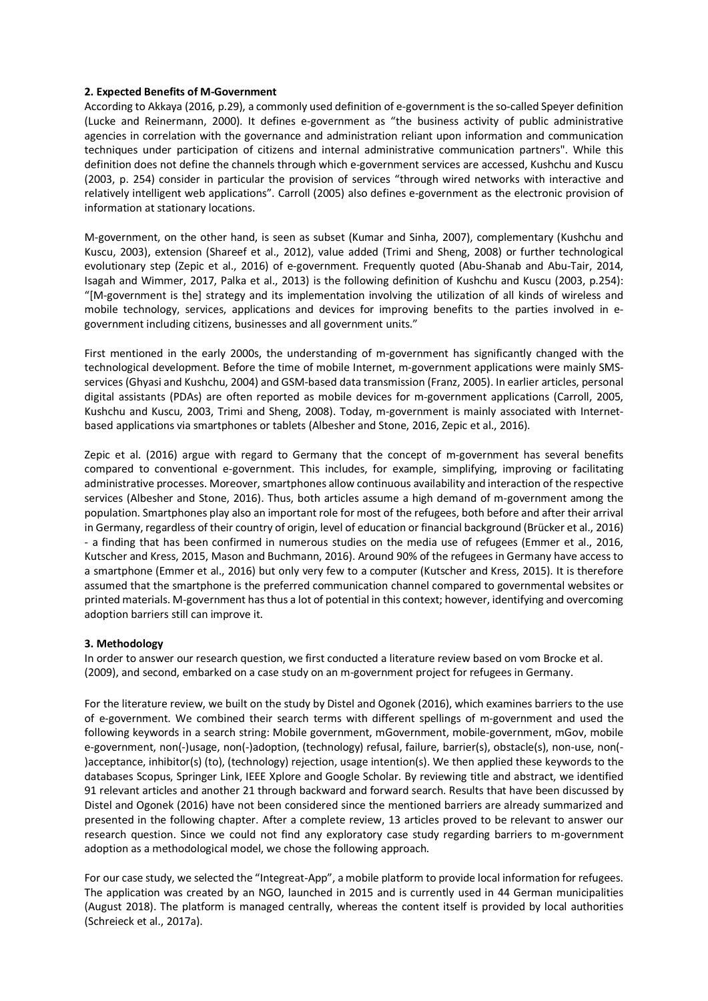#### **2. Expected Benefits of M-Government**

According to Akkaya (2016, p.29), a commonly used definition of e-government is the so-called Speyer definition (Lucke and Reinermann, 2000). It defines e-government as "the business activity of public administrative agencies in correlation with the governance and administration reliant upon information and communication techniques under participation of citizens and internal administrative communication partners". While this definition does not define the channels through which e-government services are accessed, Kushchu and Kuscu (2003, p. 254) consider in particular the provision of services "through wired networks with interactive and relatively intelligent web applications". Carroll (2005) also defines e-government as the electronic provision of information at stationary locations.

M-government, on the other hand, is seen as subset (Kumar and Sinha, 2007), complementary (Kushchu and Kuscu, 2003), extension (Shareef et al., 2012), value added (Trimi and Sheng, 2008) or further technological evolutionary step (Zepic et al., 2016) of e-government. Frequently quoted (Abu-Shanab and Abu-Tair, 2014, Isagah and Wimmer, 2017, Palka et al., 2013) is the following definition of Kushchu and Kuscu (2003, p.254): "[M-government is the] strategy and its implementation involving the utilization of all kinds of wireless and mobile technology, services, applications and devices for improving benefits to the parties involved in egovernment including citizens, businesses and all government units."

First mentioned in the early 2000s, the understanding of m-government has significantly changed with the technological development. Before the time of mobile Internet, m-government applications were mainly SMSservices (Ghyasi and Kushchu, 2004) and GSM-based data transmission (Franz, 2005). In earlier articles, personal digital assistants (PDAs) are often reported as mobile devices for m-government applications (Carroll, 2005, Kushchu and Kuscu, 2003, Trimi and Sheng, 2008). Today, m-government is mainly associated with Internetbased applications via smartphones or tablets (Albesher and Stone, 2016, Zepic et al., 2016).

Zepic et al. (2016) argue with regard to Germany that the concept of m-government has several benefits compared to conventional e-government. This includes, for example, simplifying, improving or facilitating administrative processes. Moreover, smartphones allow continuous availability and interaction of the respective services (Albesher and Stone, 2016). Thus, both articles assume a high demand of m-government among the population. Smartphones play also an important role for most of the refugees, both before and after their arrival in Germany, regardless of their country of origin, level of education or financial background (Brücker et al., 2016) - a finding that has been confirmed in numerous studies on the media use of refugees (Emmer et al., 2016, Kutscher and Kress, 2015, Mason and Buchmann, 2016). Around 90% of the refugees in Germany have access to a smartphone (Emmer et al., 2016) but only very few to a computer (Kutscher and Kress, 2015). It is therefore assumed that the smartphone is the preferred communication channel compared to governmental websites or printed materials. M-government has thus a lot of potential in this context; however, identifying and overcoming adoption barriers still can improve it.

#### **3. Methodology**

In order to answer our research question, we first conducted a literature review based on vom Brocke et al. (2009), and second, embarked on a case study on an m-government project for refugees in Germany.

For the literature review, we built on the study by Distel and Ogonek (2016), which examines barriers to the use of e-government. We combined their search terms with different spellings of m-government and used the following keywords in a search string: Mobile government, mGovernment, mobile-government, mGov, mobile e-government, non(-)usage, non(-)adoption, (technology) refusal, failure, barrier(s), obstacle(s), non-use, non(- )acceptance, inhibitor(s) (to), (technology) rejection, usage intention(s). We then applied these keywords to the databases Scopus, Springer Link, IEEE Xplore and Google Scholar. By reviewing title and abstract, we identified 91 relevant articles and another 21 through backward and forward search. Results that have been discussed by Distel and Ogonek (2016) have not been considered since the mentioned barriers are already summarized and presented in the following chapter. After a complete review, 13 articles proved to be relevant to answer our research question. Since we could not find any exploratory case study regarding barriers to m-government adoption as a methodological model, we chose the following approach.

For our case study, we selected the "Integreat-App", a mobile platform to provide local information for refugees. The application was created by an NGO, launched in 2015 and is currently used in 44 German municipalities (August 2018). The platform is managed centrally, whereas the content itself is provided by local authorities (Schreieck et al., 2017a).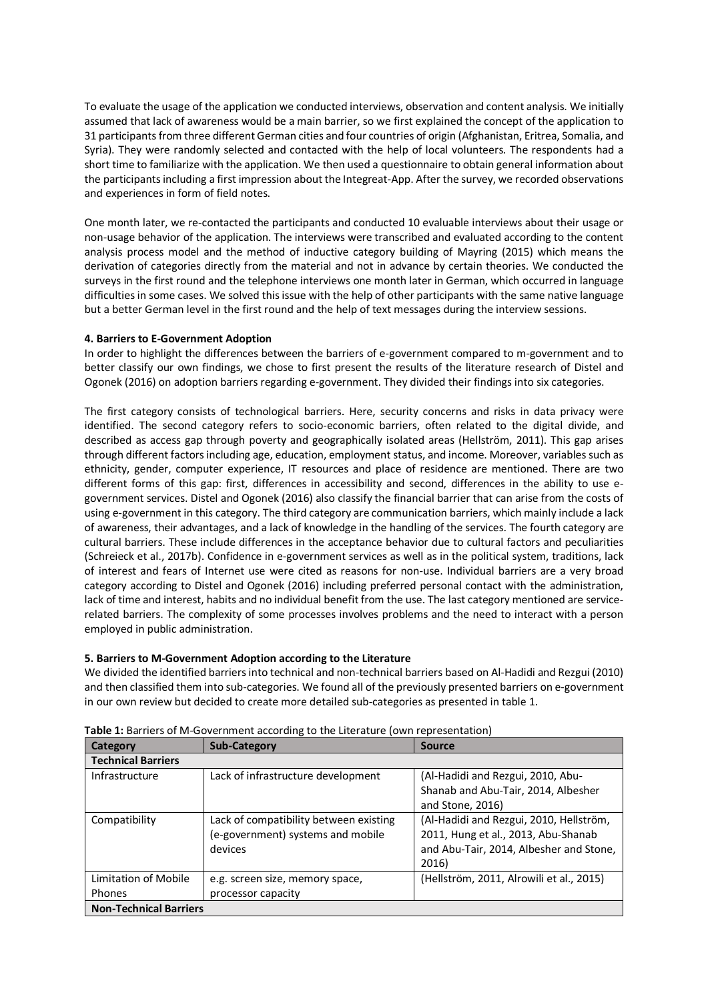To evaluate the usage of the application we conducted interviews, observation and content analysis. We initially assumed that lack of awareness would be a main barrier, so we first explained the concept of the application to 31 participants from three different German cities and four countries of origin (Afghanistan, Eritrea, Somalia, and Syria). They were randomly selected and contacted with the help of local volunteers. The respondents had a short time to familiarize with the application. We then used a questionnaire to obtain general information about the participants including a first impression about the Integreat-App. After the survey, we recorded observations and experiences in form of field notes.

One month later, we re-contacted the participants and conducted 10 evaluable interviews about their usage or non-usage behavior of the application. The interviews were transcribed and evaluated according to the content analysis process model and the method of inductive category building of Mayring (2015) which means the derivation of categories directly from the material and not in advance by certain theories. We conducted the surveys in the first round and the telephone interviews one month later in German, which occurred in language difficulties in some cases. We solved this issue with the help of other participants with the same native language but a better German level in the first round and the help of text messages during the interview sessions.

### **4. Barriers to E-Government Adoption**

In order to highlight the differences between the barriers of e-government compared to m-government and to better classify our own findings, we chose to first present the results of the literature research of Distel and Ogonek (2016) on adoption barriers regarding e-government. They divided their findings into six categories.

The first category consists of technological barriers. Here, security concerns and risks in data privacy were identified. The second category refers to socio-economic barriers, often related to the digital divide, and described as access gap through poverty and geographically isolated areas (Hellström, 2011). This gap arises through different factors including age, education, employment status, and income. Moreover, variables such as ethnicity, gender, computer experience, IT resources and place of residence are mentioned. There are two different forms of this gap: first, differences in accessibility and second, differences in the ability to use egovernment services. Distel and Ogonek (2016) also classify the financial barrier that can arise from the costs of using e-government in this category. The third category are communication barriers, which mainly include a lack of awareness, their advantages, and a lack of knowledge in the handling of the services. The fourth category are cultural barriers. These include differences in the acceptance behavior due to cultural factors and peculiarities (Schreieck et al., 2017b). Confidence in e-government services as well as in the political system, traditions, lack of interest and fears of Internet use were cited as reasons for non-use. Individual barriers are a very broad category according to Distel and Ogonek (2016) including preferred personal contact with the administration, lack of time and interest, habits and no individual benefit from the use. The last category mentioned are servicerelated barriers. The complexity of some processes involves problems and the need to interact with a person employed in public administration.

### **5. Barriers to M-Government Adoption according to the Literature**

We divided the identified barriers into technical and non-technical barriers based on Al-Hadidi and Rezgui (2010) and then classified them into sub-categories. We found all of the previously presented barriers on e-government in our own review but decided to create more detailed sub-categories as presented in table 1.

| Category                      | <b>Sub-Category</b>                    | <b>Source</b>                            |  |  |  |  |
|-------------------------------|----------------------------------------|------------------------------------------|--|--|--|--|
| <b>Technical Barriers</b>     |                                        |                                          |  |  |  |  |
| Infrastructure                | Lack of infrastructure development     | (Al-Hadidi and Rezgui, 2010, Abu-        |  |  |  |  |
|                               |                                        | Shanab and Abu-Tair, 2014, Albesher      |  |  |  |  |
|                               |                                        | and Stone, 2016)                         |  |  |  |  |
| Compatibility                 | Lack of compatibility between existing | (Al-Hadidi and Rezgui, 2010, Hellström,  |  |  |  |  |
|                               | (e-government) systems and mobile      | 2011, Hung et al., 2013, Abu-Shanab      |  |  |  |  |
|                               | devices                                | and Abu-Tair, 2014, Albesher and Stone,  |  |  |  |  |
|                               |                                        | 2016)                                    |  |  |  |  |
| Limitation of Mobile          | e.g. screen size, memory space,        | (Hellström, 2011, Alrowili et al., 2015) |  |  |  |  |
| <b>Phones</b>                 | processor capacity                     |                                          |  |  |  |  |
| <b>Non-Technical Barriers</b> |                                        |                                          |  |  |  |  |

**Table 1:** Barriers of M-Government according to the Literature (own representation)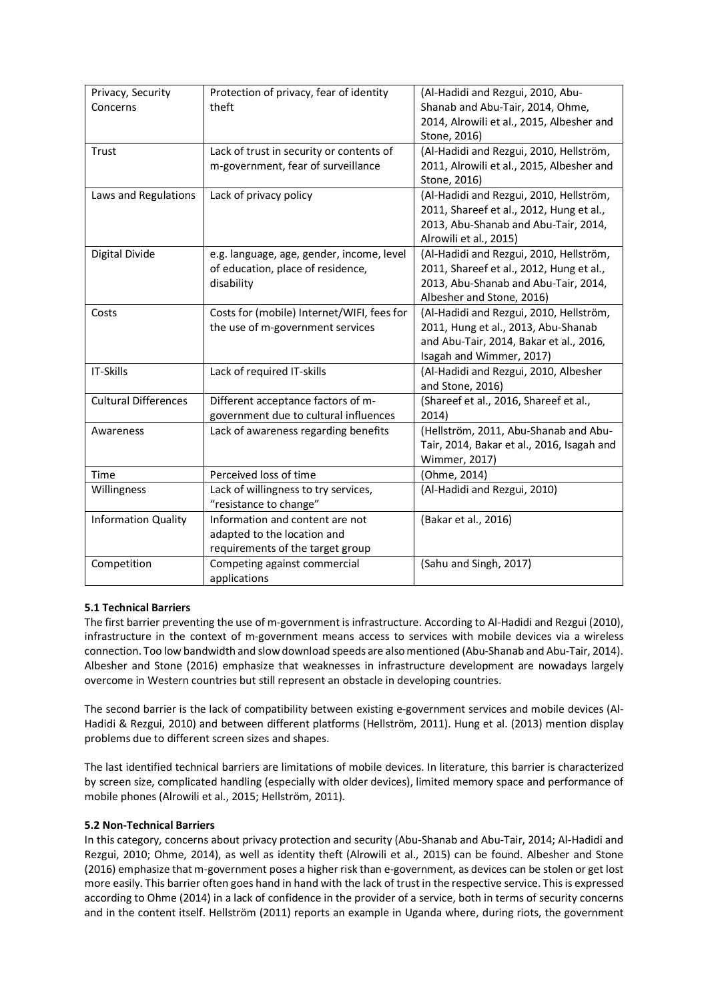| Privacy, Security           | Protection of privacy, fear of identity    | (Al-Hadidi and Rezgui, 2010, Abu-          |  |  |
|-----------------------------|--------------------------------------------|--------------------------------------------|--|--|
| Concerns                    | theft                                      | Shanab and Abu-Tair, 2014, Ohme,           |  |  |
|                             |                                            | 2014, Alrowili et al., 2015, Albesher and  |  |  |
|                             |                                            | Stone, 2016)                               |  |  |
| Trust                       | Lack of trust in security or contents of   | (Al-Hadidi and Rezgui, 2010, Hellström,    |  |  |
|                             | m-government, fear of surveillance         | 2011, Alrowili et al., 2015, Albesher and  |  |  |
|                             |                                            | Stone, 2016)                               |  |  |
| Laws and Regulations        |                                            | (Al-Hadidi and Rezgui, 2010, Hellström,    |  |  |
|                             | Lack of privacy policy                     |                                            |  |  |
|                             |                                            | 2011, Shareef et al., 2012, Hung et al.,   |  |  |
|                             |                                            | 2013, Abu-Shanab and Abu-Tair, 2014,       |  |  |
|                             |                                            | Alrowili et al., 2015)                     |  |  |
| Digital Divide              | e.g. language, age, gender, income, level  | (Al-Hadidi and Rezgui, 2010, Hellström,    |  |  |
|                             | of education, place of residence,          | 2011, Shareef et al., 2012, Hung et al.,   |  |  |
|                             | disability                                 | 2013, Abu-Shanab and Abu-Tair, 2014,       |  |  |
|                             |                                            | Albesher and Stone, 2016)                  |  |  |
| Costs                       | Costs for (mobile) Internet/WIFI, fees for | (Al-Hadidi and Rezgui, 2010, Hellström,    |  |  |
|                             | the use of m-government services           | 2011, Hung et al., 2013, Abu-Shanab        |  |  |
|                             |                                            | and Abu-Tair, 2014, Bakar et al., 2016,    |  |  |
|                             |                                            | Isagah and Wimmer, 2017)                   |  |  |
| IT-Skills                   | Lack of required IT-skills                 | (Al-Hadidi and Rezgui, 2010, Albesher      |  |  |
|                             |                                            | and Stone, 2016)                           |  |  |
| <b>Cultural Differences</b> | Different acceptance factors of m-         | (Shareef et al., 2016, Shareef et al.,     |  |  |
|                             | government due to cultural influences      | 2014)                                      |  |  |
| Awareness                   | Lack of awareness regarding benefits       | (Hellström, 2011, Abu-Shanab and Abu-      |  |  |
|                             |                                            | Tair, 2014, Bakar et al., 2016, Isagah and |  |  |
|                             |                                            | Wimmer, 2017)                              |  |  |
| Time                        | Perceived loss of time                     | (Ohme, 2014)                               |  |  |
| Willingness                 | Lack of willingness to try services,       | (Al-Hadidi and Rezgui, 2010)               |  |  |
|                             | "resistance to change"                     |                                            |  |  |
| <b>Information Quality</b>  | Information and content are not            | (Bakar et al., 2016)                       |  |  |
|                             | adapted to the location and                |                                            |  |  |
|                             | requirements of the target group           |                                            |  |  |
| Competition                 | Competing against commercial               | (Sahu and Singh, 2017)                     |  |  |
|                             | applications                               |                                            |  |  |

# **5.1 Technical Barriers**

The first barrier preventing the use of m-government is infrastructure. According to Al-Hadidi and Rezgui (2010), infrastructure in the context of m-government means access to services with mobile devices via a wireless connection. Too low bandwidth and slow download speeds are also mentioned (Abu-Shanab and Abu-Tair, 2014). Albesher and Stone (2016) emphasize that weaknesses in infrastructure development are nowadays largely overcome in Western countries but still represent an obstacle in developing countries.

The second barrier is the lack of compatibility between existing e-government services and mobile devices (Al-Hadidi & Rezgui, 2010) and between different platforms (Hellström, 2011). Hung et al. (2013) mention display problems due to different screen sizes and shapes.

The last identified technical barriers are limitations of mobile devices. In literature, this barrier is characterized by screen size, complicated handling (especially with older devices), limited memory space and performance of mobile phones (Alrowili et al., 2015; Hellström, 2011).

### **5.2 Non-Technical Barriers**

In this category, concerns about privacy protection and security (Abu-Shanab and Abu-Tair, 2014; Al-Hadidi and Rezgui, 2010; Ohme, 2014), as well as identity theft (Alrowili et al., 2015) can be found. Albesher and Stone (2016) emphasize that m-government poses a higher risk than e-government, as devices can be stolen or get lost more easily. This barrier often goes hand in hand with the lack of trust in the respective service. This is expressed according to Ohme (2014) in a lack of confidence in the provider of a service, both in terms of security concerns and in the content itself. Hellström (2011) reports an example in Uganda where, during riots, the government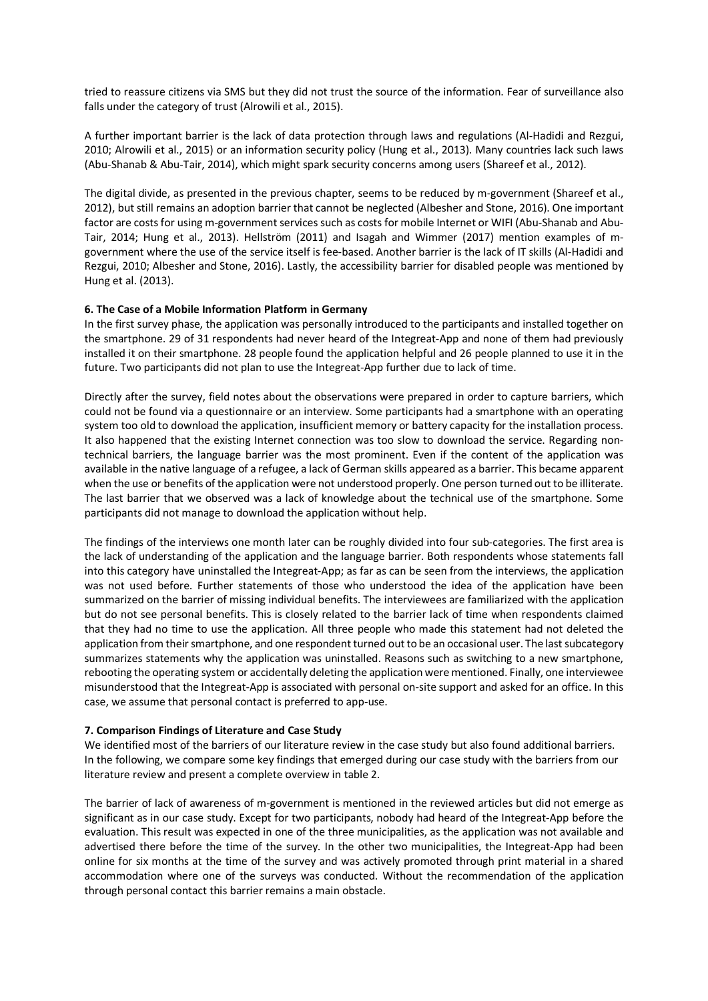tried to reassure citizens via SMS but they did not trust the source of the information. Fear of surveillance also falls under the category of trust (Alrowili et al., 2015).

A further important barrier is the lack of data protection through laws and regulations (Al-Hadidi and Rezgui, 2010; Alrowili et al., 2015) or an information security policy (Hung et al., 2013). Many countries lack such laws (Abu-Shanab & Abu-Tair, 2014), which might spark security concerns among users (Shareef et al., 2012).

The digital divide, as presented in the previous chapter, seems to be reduced by m-government (Shareef et al., 2012), but still remains an adoption barrier that cannot be neglected (Albesher and Stone, 2016). One important factor are costs for using m-government services such as costs for mobile Internet or WIFI (Abu-Shanab and Abu-Tair, 2014; Hung et al., 2013). Hellström (2011) and Isagah and Wimmer (2017) mention examples of mgovernment where the use of the service itself is fee-based. Another barrier is the lack of IT skills (Al-Hadidi and Rezgui, 2010; Albesher and Stone, 2016). Lastly, the accessibility barrier for disabled people was mentioned by Hung et al. (2013).

## **6. The Case of a Mobile Information Platform in Germany**

In the first survey phase, the application was personally introduced to the participants and installed together on the smartphone. 29 of 31 respondents had never heard of the Integreat-App and none of them had previously installed it on their smartphone. 28 people found the application helpful and 26 people planned to use it in the future. Two participants did not plan to use the Integreat-App further due to lack of time.

Directly after the survey, field notes about the observations were prepared in order to capture barriers, which could not be found via a questionnaire or an interview. Some participants had a smartphone with an operating system too old to download the application, insufficient memory or battery capacity for the installation process. It also happened that the existing Internet connection was too slow to download the service. Regarding nontechnical barriers, the language barrier was the most prominent. Even if the content of the application was available in the native language of a refugee, a lack of German skills appeared as a barrier. This became apparent when the use or benefits of the application were not understood properly. One person turned out to be illiterate. The last barrier that we observed was a lack of knowledge about the technical use of the smartphone. Some participants did not manage to download the application without help.

The findings of the interviews one month later can be roughly divided into four sub-categories. The first area is the lack of understanding of the application and the language barrier. Both respondents whose statements fall into this category have uninstalled the Integreat-App; as far as can be seen from the interviews, the application was not used before. Further statements of those who understood the idea of the application have been summarized on the barrier of missing individual benefits. The interviewees are familiarized with the application but do not see personal benefits. This is closely related to the barrier lack of time when respondents claimed that they had no time to use the application. All three people who made this statement had not deleted the application from their smartphone, and one respondent turned out to be an occasional user. The last subcategory summarizes statements why the application was uninstalled. Reasons such as switching to a new smartphone, rebooting the operating system or accidentally deleting the application were mentioned. Finally, one interviewee misunderstood that the Integreat-App is associated with personal on-site support and asked for an office. In this case, we assume that personal contact is preferred to app-use.

### **7. Comparison Findings of Literature and Case Study**

We identified most of the barriers of our literature review in the case study but also found additional barriers. In the following, we compare some key findings that emerged during our case study with the barriers from our literature review and present a complete overview in table 2.

The barrier of lack of awareness of m-government is mentioned in the reviewed articles but did not emerge as significant as in our case study. Except for two participants, nobody had heard of the Integreat-App before the evaluation. This result was expected in one of the three municipalities, as the application was not available and advertised there before the time of the survey. In the other two municipalities, the Integreat-App had been online for six months at the time of the survey and was actively promoted through print material in a shared accommodation where one of the surveys was conducted. Without the recommendation of the application through personal contact this barrier remains a main obstacle.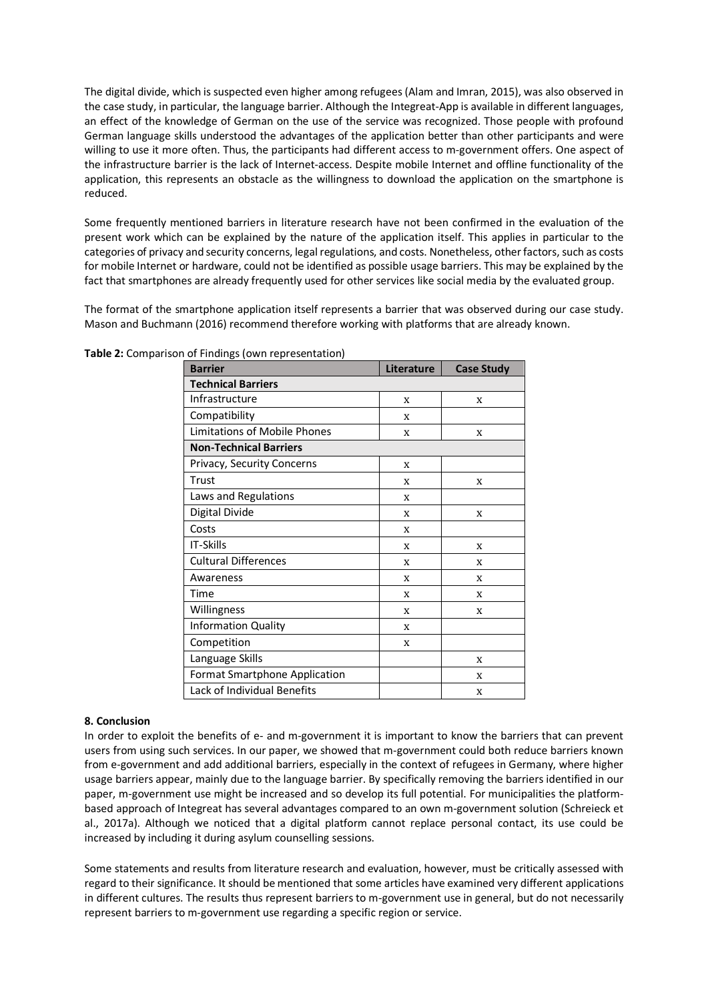The digital divide, which is suspected even higher among refugees (Alam and Imran, 2015), was also observed in the case study, in particular, the language barrier. Although the Integreat-App is available in different languages, an effect of the knowledge of German on the use of the service was recognized. Those people with profound German language skills understood the advantages of the application better than other participants and were willing to use it more often. Thus, the participants had different access to m-government offers. One aspect of the infrastructure barrier is the lack of Internet-access. Despite mobile Internet and offline functionality of the application, this represents an obstacle as the willingness to download the application on the smartphone is reduced.

Some frequently mentioned barriers in literature research have not been confirmed in the evaluation of the present work which can be explained by the nature of the application itself. This applies in particular to the categories of privacy and security concerns, legal regulations, and costs. Nonetheless, other factors, such as costs for mobile Internet or hardware, could not be identified as possible usage barriers. This may be explained by the fact that smartphones are already frequently used for other services like social media by the evaluated group.

The format of the smartphone application itself represents a barrier that was observed during our case study. Mason and Buchmann (2016) recommend therefore working with platforms that are already known.

| <b>Barrier</b>                      | <b>Literature</b> | <b>Case Study</b> |  |  |
|-------------------------------------|-------------------|-------------------|--|--|
| <b>Technical Barriers</b>           |                   |                   |  |  |
| Infrastructure                      | X                 | X                 |  |  |
| Compatibility                       | X                 |                   |  |  |
| <b>Limitations of Mobile Phones</b> | X                 | X                 |  |  |
| <b>Non-Technical Barriers</b>       |                   |                   |  |  |
| Privacy, Security Concerns          | X                 |                   |  |  |
| Trust                               | X                 | X                 |  |  |
| Laws and Regulations                | X                 |                   |  |  |
| Digital Divide                      | X                 | X                 |  |  |
| Costs                               | X                 |                   |  |  |
| <b>IT-Skills</b>                    | X                 | X                 |  |  |
| <b>Cultural Differences</b>         | X                 | X                 |  |  |
| Awareness                           | X                 | X                 |  |  |
| Time                                | X                 | X                 |  |  |
| Willingness                         | X                 | X                 |  |  |
| <b>Information Quality</b>          | X                 |                   |  |  |
| Competition                         | X                 |                   |  |  |
| Language Skills                     |                   | X                 |  |  |
| Format Smartphone Application       |                   | X                 |  |  |
| Lack of Individual Benefits         |                   | X                 |  |  |

**Table 2:** Comparison of Findings (own representation)

### **8. Conclusion**

In order to exploit the benefits of e- and m-government it is important to know the barriers that can prevent users from using such services. In our paper, we showed that m-government could both reduce barriers known from e-government and add additional barriers, especially in the context of refugees in Germany, where higher usage barriers appear, mainly due to the language barrier. By specifically removing the barriers identified in our paper, m-government use might be increased and so develop its full potential. For municipalities the platformbased approach of Integreat has several advantages compared to an own m-government solution (Schreieck et al., 2017a). Although we noticed that a digital platform cannot replace personal contact, its use could be increased by including it during asylum counselling sessions.

Some statements and results from literature research and evaluation, however, must be critically assessed with regard to their significance. It should be mentioned that some articles have examined very different applications in different cultures. The results thus represent barriers to m-government use in general, but do not necessarily represent barriers to m-government use regarding a specific region or service.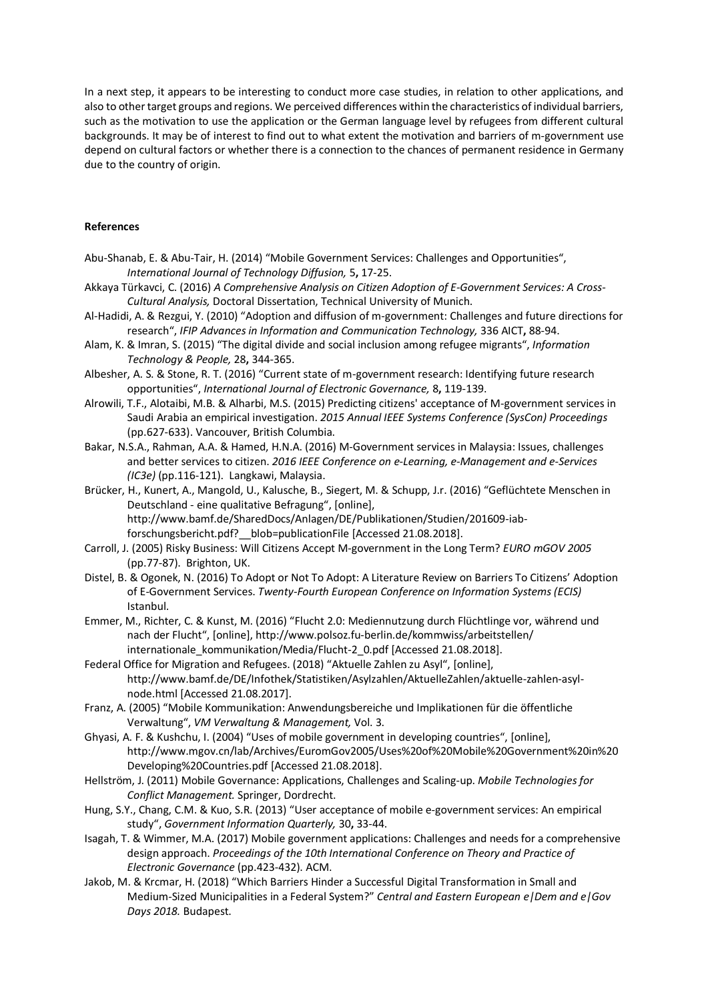In a next step, it appears to be interesting to conduct more case studies, in relation to other applications, and also to other target groups and regions. We perceived differences within the characteristics of individual barriers, such as the motivation to use the application or the German language level by refugees from different cultural backgrounds. It may be of interest to find out to what extent the motivation and barriers of m-government use depend on cultural factors or whether there is a connection to the chances of permanent residence in Germany due to the country of origin.

#### **References**

- Abu-Shanab, E. & Abu-Tair, H. (2014) "Mobile Government Services: Challenges and Opportunities", *International Journal of Technology Diffusion,* 5**,** 17-25.
- Akkaya Türkavci, C. (2016) *A Comprehensive Analysis on Citizen Adoption of E-Government Services: A Cross-Cultural Analysis,* Doctoral Dissertation, Technical University of Munich.
- Al-Hadidi, A. & Rezgui, Y. (2010) "Adoption and diffusion of m-government: Challenges and future directions for research", *IFIP Advances in Information and Communication Technology,* 336 AICT**,** 88-94.
- Alam, K. & Imran, S. (2015) "The digital divide and social inclusion among refugee migrants", *Information Technology & People,* 28**,** 344-365.
- Albesher, A. S. & Stone, R. T. (2016) "Current state of m-government research: Identifying future research opportunities", *International Journal of Electronic Governance,* 8**,** 119-139.
- Alrowili, T.F., Alotaibi, M.B. & Alharbi, M.S. (2015) Predicting citizens' acceptance of M-government services in Saudi Arabia an empirical investigation. *2015 Annual IEEE Systems Conference (SysCon) Proceedings*  (pp.627-633). Vancouver, British Columbia.
- Bakar, N.S.A., Rahman, A.A. & Hamed, H.N.A. (2016) M-Government services in Malaysia: Issues, challenges and better services to citizen. *2016 IEEE Conference on e-Learning, e-Management and e-Services (IC3e)* (pp.116-121). Langkawi, Malaysia.
- Brücker, H., Kunert, A., Mangold, U., Kalusche, B., Siegert, M. & Schupp, J.r. (2016) "Geflüchtete Menschen in Deutschland - eine qualitative Befragung", [online], http://www.bamf.de/SharedDocs/Anlagen/DE/Publikationen/Studien/201609-iabforschungsbericht.pdf?\_\_blob=publicationFile [Accessed 21.08.2018].
- Carroll, J. (2005) Risky Business: Will Citizens Accept M-government in the Long Term? *EURO mGOV 2005* (pp.77-87). Brighton, UK.
- Distel, B. & Ogonek, N. (2016) To Adopt or Not To Adopt: A Literature Review on Barriers To Citizens' Adoption of E-Government Services. *Twenty-Fourth European Conference on Information Systems (ECIS)* Istanbul.
- Emmer, M., Richter, C. & Kunst, M. (2016) "Flucht 2.0: Mediennutzung durch Flüchtlinge vor, während und nach der Flucht", [online], http://www.polsoz.fu-berlin.de/kommwiss/arbeitstellen/ internationale\_kommunikation/Media/Flucht-2\_0.pdf [Accessed 21.08.2018].
- Federal Office for Migration and Refugees. (2018) "Aktuelle Zahlen zu Asyl", [online], http://www.bamf.de/DE/Infothek/Statistiken/Asylzahlen/AktuelleZahlen/aktuelle-zahlen-asylnode.html [Accessed 21.08.2017].
- Franz, A. (2005) "Mobile Kommunikation: Anwendungsbereiche und Implikationen für die öffentliche Verwaltung", *VM Verwaltung & Management,* Vol. 3.
- Ghyasi, A. F. & Kushchu, I. (2004) "Uses of mobile government in developing countries", [online], http://www.mgov.cn/lab/Archives/EuromGov2005/Uses%20of%20Mobile%20Government%20in%20 Developing%20Countries.pdf [Accessed 21.08.2018].
- Hellström, J. (2011) Mobile Governance: Applications, Challenges and Scaling-up. *Mobile Technologies for Conflict Management.* Springer, Dordrecht.
- Hung, S.Y., Chang, C.M. & Kuo, S.R. (2013) "User acceptance of mobile e-government services: An empirical study", *Government Information Quarterly,* 30**,** 33-44.
- Isagah, T. & Wimmer, M.A. (2017) Mobile government applications: Challenges and needs for a comprehensive design approach. *Proceedings of the 10th International Conference on Theory and Practice of Electronic Governance* (pp.423-432). ACM.
- Jakob, M. & Krcmar, H. (2018) "Which Barriers Hinder a Successful Digital Transformation in Small and Medium-Sized Municipalities in a Federal System?" *Central and Eastern European e|Dem and e|Gov Days 2018.* Budapest.